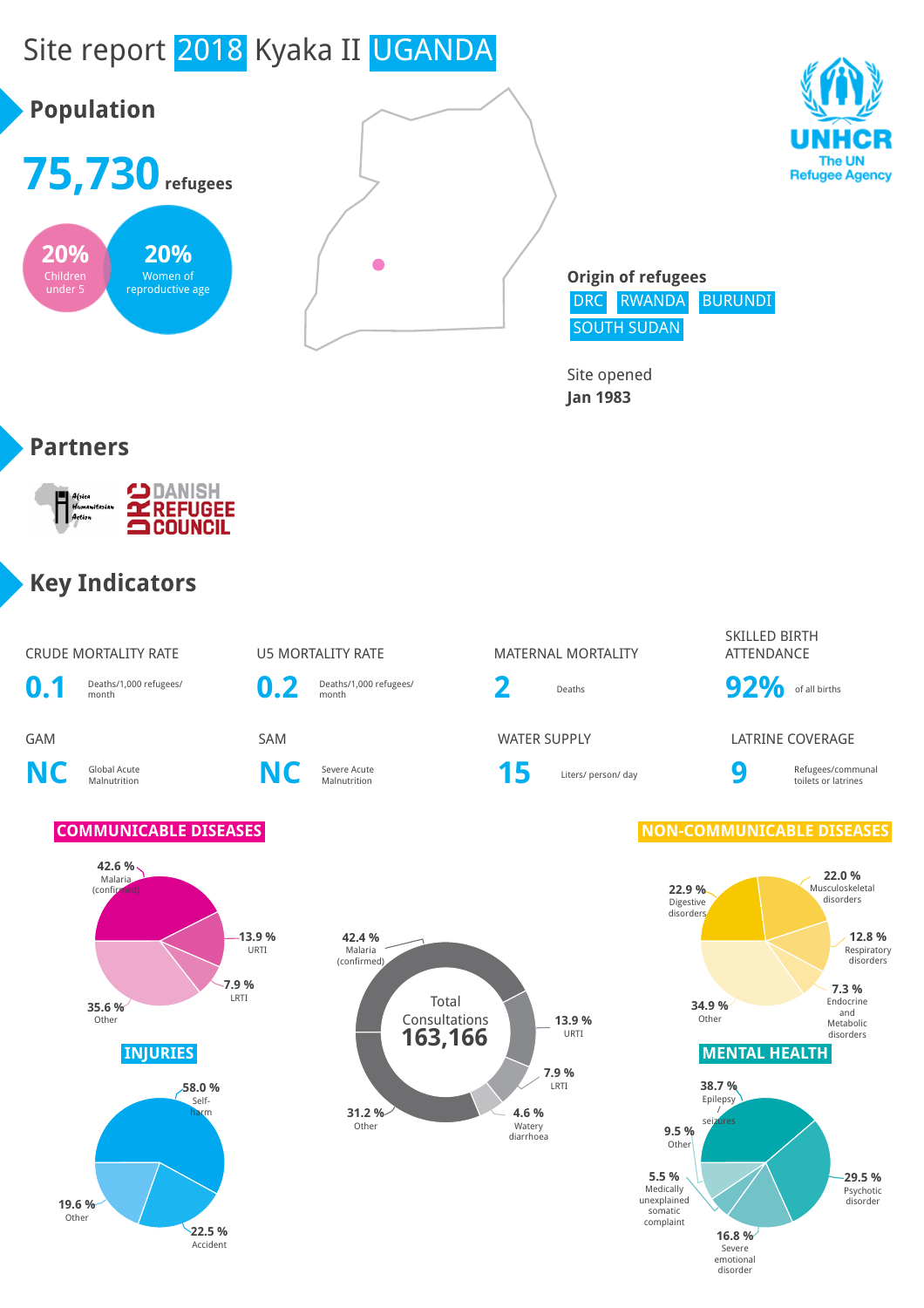

**22.5 %** Accident

**16.8 %** Severe emotional disorder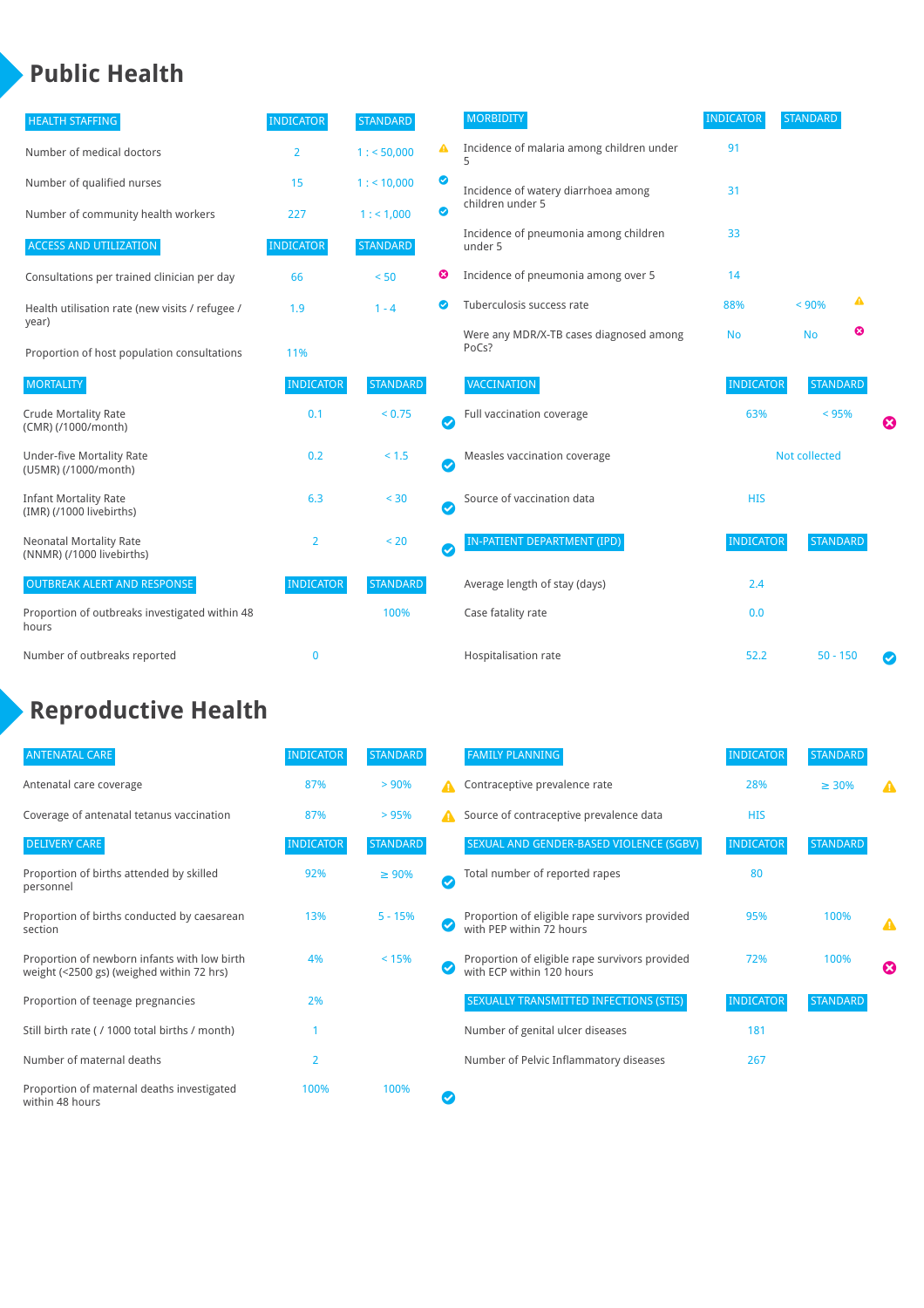### **Public Health**

| <b>HEALTH STAFFING</b>                                      | <b>INDICATOR</b> | <b>STANDARD</b> |           | <b>MORBIDITY</b>                                 | <b>INDICATOR</b> | <b>STANDARD</b> |   |   |
|-------------------------------------------------------------|------------------|-----------------|-----------|--------------------------------------------------|------------------|-----------------|---|---|
| Number of medical doctors                                   | $\overline{2}$   | 1: 50,000       | ▲         | Incidence of malaria among children under        | 91               |                 |   |   |
| Number of qualified nurses                                  | 15               | 1:10,000        | ◉         | Incidence of watery diarrhoea among              | 31               |                 |   |   |
| Number of community health workers                          | 227              | 1: 1,000        | ◙         | children under 5                                 |                  |                 |   |   |
| <b>ACCESS AND UTILIZATION</b>                               | <b>INDICATOR</b> | <b>STANDARD</b> |           | Incidence of pneumonia among children<br>under 5 | 33               |                 |   |   |
| Consultations per trained clinician per day                 | 66               | < 50            | ☺         | Incidence of pneumonia among over 5              | 14               |                 |   |   |
| Health utilisation rate (new visits / refugee /             | 1.9              | $1 - 4$         | ల         | Tuberculosis success rate                        | 88%              | < 90%           | ▲ |   |
| year)<br>Proportion of host population consultations        | 11%              |                 |           | Were any MDR/X-TB cases diagnosed among<br>PoCs? | <b>No</b>        | <b>No</b>       | ☺ |   |
| <b>MORTALITY</b>                                            | <b>INDICATOR</b> | <b>STANDARD</b> |           | <b>VACCINATION</b>                               | <b>INDICATOR</b> | <b>STANDARD</b> |   |   |
| <b>Crude Mortality Rate</b><br>(CMR) (/1000/month)          | 0.1              | < 0.75          | $\bullet$ | Full vaccination coverage                        | 63%              | < 95%           |   | Ø |
| <b>Under-five Mortality Rate</b><br>(U5MR) (/1000/month)    | 0.2              | < 1.5           | Ø         | Measles vaccination coverage                     | Not collected    |                 |   |   |
| <b>Infant Mortality Rate</b><br>(IMR) (/1000 livebirths)    | 6.3              | < 30            | $\bullet$ | Source of vaccination data                       | <b>HIS</b>       |                 |   |   |
| <b>Neonatal Mortality Rate</b><br>(NNMR) (/1000 livebirths) | 2                | < 20            | $\bullet$ | <b>IN-PATIENT DEPARTMENT (IPD)</b>               | <b>INDICATOR</b> | <b>STANDARD</b> |   |   |
| <b>OUTBREAK ALERT AND RESPONSE</b>                          | <b>INDICATOR</b> | <b>STANDARD</b> |           | Average length of stay (days)                    | 2.4              |                 |   |   |
| Proportion of outbreaks investigated within 48<br>hours     |                  | 100%            |           | Case fatality rate                               | 0.0              |                 |   |   |
| Number of outbreaks reported                                | $\mathbf 0$      |                 |           | Hospitalisation rate                             | 52.2             | $50 - 150$      |   | Ø |

# **Reproductive Health**

| <b>ANTENATAL CARE</b>                                                                     | <b>INDICATOR</b> | <b>STANDARD</b> |              | <b>FAMILY PLANNING</b>                                                      | <b>INDICATOR</b> | <b>STANDARD</b> |   |
|-------------------------------------------------------------------------------------------|------------------|-----------------|--------------|-----------------------------------------------------------------------------|------------------|-----------------|---|
| Antenatal care coverage                                                                   | 87%              | > 90%           | A            | Contraceptive prevalence rate                                               | 28%              | $\geq 30\%$     |   |
| Coverage of antenatal tetanus vaccination                                                 | 87%              | >95%            | А            | Source of contraceptive prevalence data                                     | <b>HIS</b>       |                 |   |
| <b>DELIVERY CARE</b>                                                                      | <b>INDICATOR</b> | <b>STANDARD</b> |              | SEXUAL AND GENDER-BASED VIOLENCE (SGBV)                                     | <b>INDICATOR</b> | <b>STANDARD</b> |   |
| Proportion of births attended by skilled<br>personnel                                     | 92%              | $\geq 90\%$     | $\checkmark$ | Total number of reported rapes                                              | 80               |                 |   |
| Proportion of births conducted by caesarean<br>section                                    | 13%              | $5 - 15%$       |              | Proportion of eligible rape survivors provided<br>with PEP within 72 hours  | 95%              | 100%            | Δ |
| Proportion of newborn infants with low birth<br>weight (<2500 gs) (weighed within 72 hrs) | 4%               | < 15%           |              | Proportion of eligible rape survivors provided<br>with ECP within 120 hours | 72%              | 100%            | ☎ |
| Proportion of teenage pregnancies                                                         | 2%               |                 |              | SEXUALLY TRANSMITTED INFECTIONS (STIS)                                      | <b>INDICATOR</b> | <b>STANDARD</b> |   |
| Still birth rate (/ 1000 total births / month)                                            |                  |                 |              | Number of genital ulcer diseases                                            | 181              |                 |   |
| Number of maternal deaths                                                                 | 2                |                 |              | Number of Pelvic Inflammatory diseases                                      | 267              |                 |   |
| Proportion of maternal deaths investigated<br>within 48 hours                             | 100%             | 100%            |              |                                                                             |                  |                 |   |